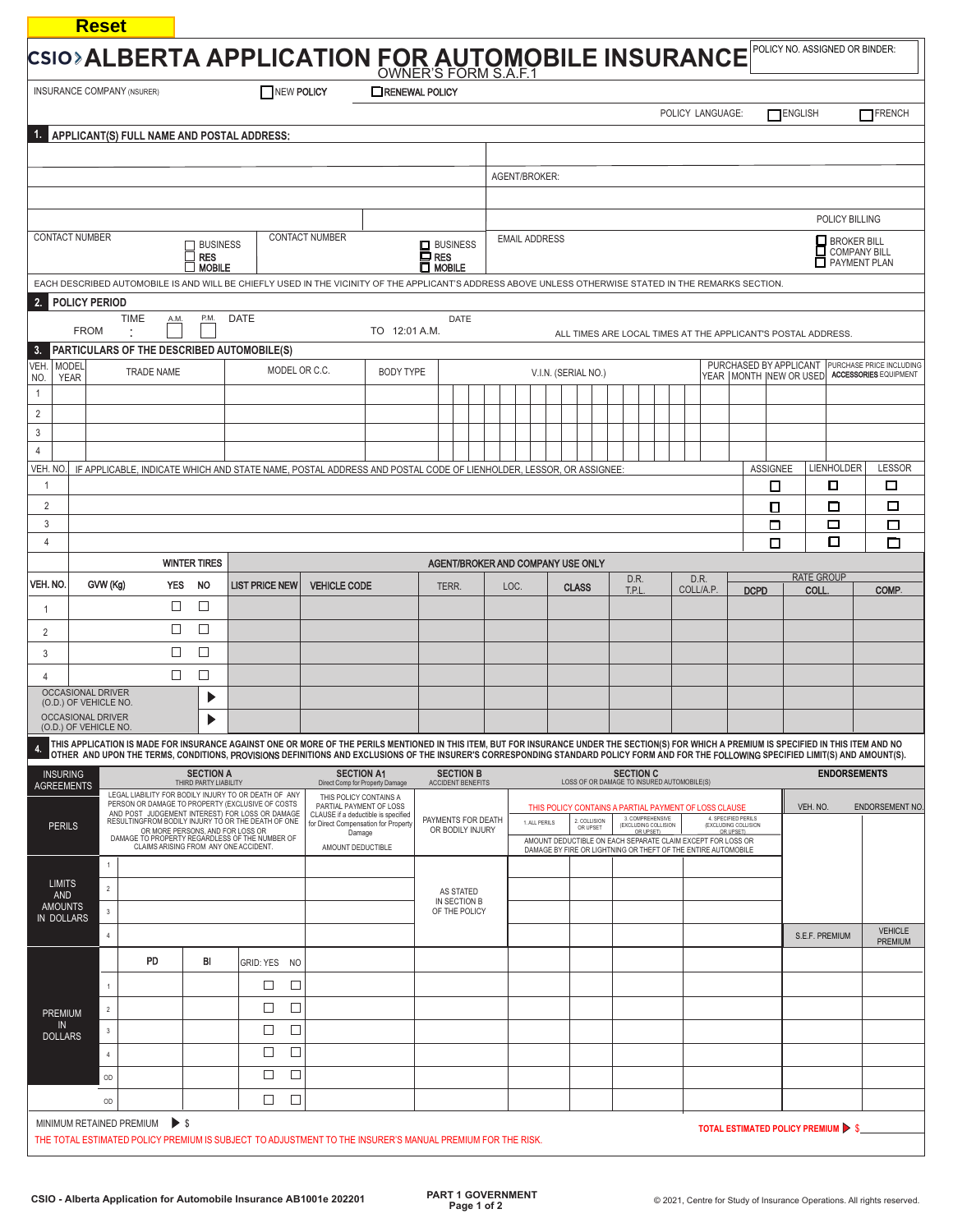| CSIO>ALBERTA APPLICATION FOR AUTOMOBILE INSURANCE<br>NEW POLICY<br><b>INSURANCE COMPANY (NSURER)</b>                                                                                                                                                       |                             |                                                   |                                                                                                          |                                                                                                                                           |                       |                                                                     | <b>TRENEWAL POLICY</b>                                                                                                                                                                       |                                                                                       |                      |                                              |                                        |               |                                                                                                                              |                              |                      |           |  |                                                         |                 |                                                                                   |                     |                           |
|------------------------------------------------------------------------------------------------------------------------------------------------------------------------------------------------------------------------------------------------------------|-----------------------------|---------------------------------------------------|----------------------------------------------------------------------------------------------------------|-------------------------------------------------------------------------------------------------------------------------------------------|-----------------------|---------------------------------------------------------------------|----------------------------------------------------------------------------------------------------------------------------------------------------------------------------------------------|---------------------------------------------------------------------------------------|----------------------|----------------------------------------------|----------------------------------------|---------------|------------------------------------------------------------------------------------------------------------------------------|------------------------------|----------------------|-----------|--|---------------------------------------------------------|-----------------|-----------------------------------------------------------------------------------|---------------------|---------------------------|
|                                                                                                                                                                                                                                                            |                             |                                                   |                                                                                                          |                                                                                                                                           |                       |                                                                     |                                                                                                                                                                                              |                                                                                       |                      |                                              |                                        |               |                                                                                                                              |                              | POLICY LANGUAGE:     |           |  | ENGLISH                                                 |                 | TFRENCH                                                                           |                     |                           |
|                                                                                                                                                                                                                                                            |                             |                                                   | APPLICANT(S) FULL NAME AND POSTAL ADDRESS:                                                               |                                                                                                                                           |                       |                                                                     |                                                                                                                                                                                              |                                                                                       |                      |                                              |                                        |               |                                                                                                                              |                              |                      |           |  |                                                         |                 |                                                                                   |                     |                           |
|                                                                                                                                                                                                                                                            |                             |                                                   |                                                                                                          |                                                                                                                                           |                       |                                                                     |                                                                                                                                                                                              |                                                                                       |                      |                                              |                                        |               |                                                                                                                              |                              |                      |           |  |                                                         |                 |                                                                                   |                     |                           |
|                                                                                                                                                                                                                                                            |                             |                                                   |                                                                                                          |                                                                                                                                           |                       |                                                                     |                                                                                                                                                                                              |                                                                                       |                      |                                              |                                        | AGENT/BROKER: |                                                                                                                              |                              |                      |           |  |                                                         |                 |                                                                                   |                     |                           |
|                                                                                                                                                                                                                                                            |                             |                                                   |                                                                                                          |                                                                                                                                           |                       |                                                                     |                                                                                                                                                                                              |                                                                                       |                      |                                              |                                        |               |                                                                                                                              |                              |                      |           |  |                                                         |                 |                                                                                   |                     |                           |
|                                                                                                                                                                                                                                                            |                             |                                                   |                                                                                                          |                                                                                                                                           |                       |                                                                     |                                                                                                                                                                                              |                                                                                       |                      |                                              |                                        |               |                                                                                                                              |                              |                      |           |  | POLICY BILLING                                          |                 |                                                                                   |                     |                           |
| <b>CONTACT NUMBER</b><br><b>CONTACT NUMBER</b><br><b>BUSINESS</b><br><b>RES</b><br><b>MOBILE</b><br>EACH DESCRIBED AUTOMOBILE IS AND WILL BE CHIEFLY USED IN THE VICINITY OF THE APPLICANT'S ADDRESS ABOVE UNLESS OTHERWISE STATED IN THE REMARKS SECTION. |                             |                                                   |                                                                                                          |                                                                                                                                           |                       | <b>D</b> RES<br>$\Box$ MOBILE                                       | $\Box$ BUSINESS                                                                                                                                                                              |                                                                                       | <b>EMAIL ADDRESS</b> |                                              |                                        |               |                                                                                                                              |                              |                      |           |  | BROKER BILL<br>COMPANY BILL<br>PAYMENT PLAN             |                 |                                                                                   |                     |                           |
|                                                                                                                                                                                                                                                            |                             |                                                   |                                                                                                          |                                                                                                                                           |                       |                                                                     |                                                                                                                                                                                              |                                                                                       |                      |                                              |                                        |               |                                                                                                                              |                              |                      |           |  |                                                         |                 |                                                                                   |                     |                           |
|                                                                                                                                                                                                                                                            | <b>FROM</b>                 | <b>POLICY PERIOD</b>                              | <b>TIME</b><br>A.M.                                                                                      | P.M.                                                                                                                                      | DATE                  |                                                                     |                                                                                                                                                                                              | TO 12:01 A.M.                                                                         |                      | <b>DATE</b>                                  |                                        |               |                                                                                                                              |                              |                      |           |  |                                                         |                 | ALL TIMES ARE LOCAL TIMES AT THE APPLICANT'S POSTAL ADDRESS.                      |                     |                           |
| 3.                                                                                                                                                                                                                                                         |                             |                                                   | PARTICULARS OF THE DESCRIBED AUTOMOBILE(S)                                                               |                                                                                                                                           |                       |                                                                     |                                                                                                                                                                                              |                                                                                       |                      |                                              |                                        |               |                                                                                                                              |                              |                      |           |  |                                                         |                 |                                                                                   |                     |                           |
| VEH.<br>NO.                                                                                                                                                                                                                                                | <b>MODEL</b><br><b>YEAR</b> |                                                   | <b>TRADE NAME</b>                                                                                        |                                                                                                                                           |                       | MODEL OR C.C.                                                       |                                                                                                                                                                                              | <b>BODY TYPE</b>                                                                      |                      |                                              |                                        |               | V.I.N. (SERIAL NO.)                                                                                                          |                              |                      |           |  | YEAR MONTH NEW OR USED                                  |                 | PURCHASED BY APPLICANT   PURCHASE PRICE INCLUDING<br><b>ACCESSORIES FOUIPMENT</b> |                     |                           |
| $\mathbf{1}$                                                                                                                                                                                                                                               |                             |                                                   |                                                                                                          |                                                                                                                                           |                       |                                                                     |                                                                                                                                                                                              |                                                                                       |                      |                                              |                                        |               |                                                                                                                              |                              |                      |           |  |                                                         |                 |                                                                                   |                     |                           |
| 2                                                                                                                                                                                                                                                          |                             |                                                   |                                                                                                          |                                                                                                                                           |                       |                                                                     |                                                                                                                                                                                              |                                                                                       |                      |                                              |                                        |               |                                                                                                                              |                              |                      |           |  |                                                         |                 |                                                                                   |                     |                           |
| 3<br>$\overline{4}$                                                                                                                                                                                                                                        |                             |                                                   |                                                                                                          |                                                                                                                                           |                       |                                                                     |                                                                                                                                                                                              |                                                                                       |                      |                                              |                                        |               |                                                                                                                              |                              |                      |           |  |                                                         |                 |                                                                                   |                     |                           |
| veh. No.                                                                                                                                                                                                                                                   |                             |                                                   |                                                                                                          |                                                                                                                                           |                       |                                                                     | IF APPLICABLE, INDICATE WHICH AND STATE NAME, POSTAL ADDRESS AND POSTAL CODE OF LIENHOLDER, LESSOR, OR ASSIGNEE                                                                              |                                                                                       |                      |                                              |                                        |               |                                                                                                                              |                              |                      |           |  |                                                         | <b>ASSIGNEE</b> |                                                                                   | LIENHOLDER          | <b>LESSOR</b>             |
| $\mathbf{1}$                                                                                                                                                                                                                                               |                             |                                                   |                                                                                                          |                                                                                                                                           |                       |                                                                     |                                                                                                                                                                                              |                                                                                       |                      |                                              |                                        |               |                                                                                                                              |                              |                      |           |  |                                                         | □               |                                                                                   | ◻                   | □                         |
| $\overline{2}$                                                                                                                                                                                                                                             |                             |                                                   |                                                                                                          |                                                                                                                                           |                       |                                                                     |                                                                                                                                                                                              |                                                                                       |                      |                                              |                                        |               |                                                                                                                              |                              |                      |           |  |                                                         | О               |                                                                                   | □                   | □                         |
| 3                                                                                                                                                                                                                                                          |                             |                                                   |                                                                                                          |                                                                                                                                           |                       |                                                                     |                                                                                                                                                                                              |                                                                                       |                      |                                              |                                        |               |                                                                                                                              |                              |                      |           |  |                                                         | □               |                                                                                   | $\Box$              | □                         |
| 4                                                                                                                                                                                                                                                          |                             |                                                   |                                                                                                          | <b>WINTER TIRES</b>                                                                                                                       |                       |                                                                     |                                                                                                                                                                                              |                                                                                       |                      |                                              |                                        |               |                                                                                                                              |                              |                      |           |  |                                                         | □               |                                                                                   | $\Box$              | ▭                         |
| VEH. NO.                                                                                                                                                                                                                                                   |                             | GVW (Kg)                                          | <b>YES</b>                                                                                               | <b>NO</b>                                                                                                                                 | <b>LIST PRICE NEW</b> |                                                                     | <b>VEHICLE CODE</b>                                                                                                                                                                          |                                                                                       |                      | AGENT/BROKER AND COMPANY USE ONLY            |                                        | LOC.          |                                                                                                                              | D.R.                         |                      | D.R.      |  |                                                         |                 | <b>RATE GROUP</b>                                                                 |                     |                           |
|                                                                                                                                                                                                                                                            |                             |                                                   | □                                                                                                        | $\Box$                                                                                                                                    |                       |                                                                     |                                                                                                                                                                                              |                                                                                       |                      | TERR.                                        |                                        |               | <b>CLASS</b>                                                                                                                 | T.P.L                        |                      | COLL/A.P. |  | <b>DCPD</b>                                             |                 | <b>COLL</b>                                                                       |                     | <b>COMP</b>               |
| $\mathbf{1}$                                                                                                                                                                                                                                               |                             |                                                   | $\Box$                                                                                                   | $\Box$                                                                                                                                    |                       |                                                                     |                                                                                                                                                                                              |                                                                                       |                      |                                              |                                        |               |                                                                                                                              |                              |                      |           |  |                                                         |                 |                                                                                   |                     |                           |
| 2<br>3                                                                                                                                                                                                                                                     |                             |                                                   | $\Box$                                                                                                   | $\Box$                                                                                                                                    |                       |                                                                     |                                                                                                                                                                                              |                                                                                       |                      |                                              |                                        |               |                                                                                                                              |                              |                      |           |  |                                                         |                 |                                                                                   |                     |                           |
| $\overline{4}$                                                                                                                                                                                                                                             |                             |                                                   | $\Box$                                                                                                   | $\Box$                                                                                                                                    |                       |                                                                     |                                                                                                                                                                                              |                                                                                       |                      |                                              |                                        |               |                                                                                                                              |                              |                      |           |  |                                                         |                 |                                                                                   |                     |                           |
|                                                                                                                                                                                                                                                            |                             | <b>OCCASIONAL DRIVER</b>                          |                                                                                                          |                                                                                                                                           |                       |                                                                     |                                                                                                                                                                                              |                                                                                       |                      |                                              |                                        |               |                                                                                                                              |                              |                      |           |  |                                                         |                 |                                                                                   |                     |                           |
|                                                                                                                                                                                                                                                            |                             | (O.D.) OF VEHICLE NO.<br><b>OCCASIONAL DRIVER</b> |                                                                                                          | ▶                                                                                                                                         |                       |                                                                     |                                                                                                                                                                                              |                                                                                       |                      |                                              |                                        |               |                                                                                                                              |                              |                      |           |  |                                                         |                 |                                                                                   |                     |                           |
|                                                                                                                                                                                                                                                            |                             | (O.D.) OF VEHICLE NO.                             |                                                                                                          |                                                                                                                                           |                       |                                                                     | THIS APPLICATION IS MADE FOR INSURANCE AGAINST ONE OR MORE OF THE PERILS MENTIONED IN THIS ITEM, BUT FOR INSURANCE UNDER THE SECTION(S) FOR WHICH A PREMIUM IS SPECIFIED IN THIS ITEM AND NO |                                                                                       |                      |                                              |                                        |               |                                                                                                                              |                              |                      |           |  |                                                         |                 |                                                                                   |                     |                           |
| -4.                                                                                                                                                                                                                                                        |                             |                                                   |                                                                                                          |                                                                                                                                           |                       |                                                                     | OTHER AND UPON THE TERMS, CONDITIONS, PROVISIONS DEFINITIONS AND EXCLUSIONS OF THE INSURER'S CORRESPONDING STANDARD POLICY FORM AND FOR THE FOLLOWING SPECIFIED LIMIT(S) AND AMOUNT(S).      |                                                                                       |                      |                                              |                                        |               |                                                                                                                              |                              |                      |           |  |                                                         |                 |                                                                                   |                     |                           |
| <b>INSURING</b><br><b>AGREEMENTS</b>                                                                                                                                                                                                                       |                             |                                                   |                                                                                                          | <b>SECTION A</b><br>THIRD PARTY LIABILITY                                                                                                 |                       |                                                                     | <b>SECTION A1</b><br>Direct Comp for Property Damage                                                                                                                                         |                                                                                       |                      | <b>SECTION B</b><br><b>ACCIDENT BENEFITS</b> |                                        |               | LOSS OF OR DAMAGE TO INSURED AUTOMOBILE(S)                                                                                   | <b>SECTION C</b>             |                      |           |  |                                                         |                 |                                                                                   | <b>ENDORSEMENTS</b> |                           |
|                                                                                                                                                                                                                                                            |                             |                                                   | LEGAL LIABILITY FOR BODILY INJURY TO OR DEATH OF ANY<br>PERSON OR DAMAGE TO PROPERTY (EXCLUSIVE OF COSTS |                                                                                                                                           |                       |                                                                     | THIS POLICY CONTAINS A<br>PARTIAL PAYMENT OF LOSS                                                                                                                                            |                                                                                       |                      |                                              |                                        |               | THIS POLICY CONTAINS A PARTIAL PAYMENT OF LOSS CLAUSE                                                                        |                              |                      |           |  |                                                         |                 | VEH. NO.                                                                          |                     | ENDORSEMENT NO.           |
| <b>PERILS</b>                                                                                                                                                                                                                                              |                             |                                                   |                                                                                                          | AND POST JUDGEMENT INTEREST) FOR LOSS OR DAMAGE<br>RESULTINGFROM BODILY INJURY TO OR THE DEATH OF ONE<br>OR MORE PERSONS, AND FOR LOSS OR |                       |                                                                     |                                                                                                                                                                                              | CLAUSE if a deductible is specified<br>for Direct Compensation for Property<br>Damage |                      |                                              | PAYMENTS FOR DEATH<br>OR BODILY INJURY | 1. ALL PERILS | 2. COLLISION<br>OR UPSET                                                                                                     | 3 COMPREHENSIVE<br>OR UPSET) | (EXCLUDING COLLISION |           |  | 4 SPECIFIED PERILS<br>(EXCLUDING COLLISION<br>OR UPSET) |                 |                                                                                   |                     |                           |
|                                                                                                                                                                                                                                                            |                             |                                                   | CLAIMS ARISING FROM ANY ONE ACCIDENT.                                                                    |                                                                                                                                           |                       | DAMAGE TO PROPERTY REGARDLESS OF THE NUMBER OF<br>AMOUNT DEDUCTIBLE |                                                                                                                                                                                              |                                                                                       |                      |                                              |                                        |               | AMOUNT DEDUCTIBLE ON EACH SEPARATE CLAIM EXCEPT FOR LOSS OR<br>DAMAGE BY FIRE OR LIGHTNING OR THEFT OF THE ENTIRE AUTOMOBILE |                              |                      |           |  |                                                         |                 |                                                                                   |                     |                           |
|                                                                                                                                                                                                                                                            |                             |                                                   |                                                                                                          |                                                                                                                                           |                       |                                                                     |                                                                                                                                                                                              |                                                                                       |                      |                                              |                                        |               |                                                                                                                              |                              |                      |           |  |                                                         |                 |                                                                                   |                     |                           |
|                                                                                                                                                                                                                                                            |                             | $\overline{1}$                                    |                                                                                                          |                                                                                                                                           |                       |                                                                     |                                                                                                                                                                                              |                                                                                       |                      |                                              |                                        |               |                                                                                                                              |                              |                      |           |  |                                                         |                 |                                                                                   |                     |                           |
| <b>LIMITS</b><br><b>AND</b>                                                                                                                                                                                                                                |                             | $\overline{2}$                                    |                                                                                                          |                                                                                                                                           |                       |                                                                     |                                                                                                                                                                                              |                                                                                       |                      | AS STATED                                    |                                        |               |                                                                                                                              |                              |                      |           |  |                                                         |                 |                                                                                   |                     |                           |
| <b>AMOUNTS</b><br><b>IN DOLLARS</b>                                                                                                                                                                                                                        |                             | $_{\rm 3}$                                        |                                                                                                          |                                                                                                                                           |                       |                                                                     |                                                                                                                                                                                              |                                                                                       |                      | IN SECTION B<br>OF THE POLICY                |                                        |               |                                                                                                                              |                              |                      |           |  |                                                         |                 |                                                                                   |                     |                           |
|                                                                                                                                                                                                                                                            |                             | $\overline{4}$                                    |                                                                                                          |                                                                                                                                           |                       |                                                                     |                                                                                                                                                                                              |                                                                                       |                      |                                              |                                        |               |                                                                                                                              |                              |                      |           |  |                                                         |                 | S.E.F. PREMIUM                                                                    |                     | <b>VEHICLE</b><br>PREMIUM |
|                                                                                                                                                                                                                                                            |                             |                                                   | PD                                                                                                       | BI                                                                                                                                        |                       | GRID: YES NO                                                        |                                                                                                                                                                                              |                                                                                       |                      |                                              |                                        |               |                                                                                                                              |                              |                      |           |  |                                                         |                 |                                                                                   |                     |                           |
|                                                                                                                                                                                                                                                            |                             | $\overline{1}$                                    |                                                                                                          |                                                                                                                                           | □                     | □                                                                   |                                                                                                                                                                                              |                                                                                       |                      |                                              |                                        |               |                                                                                                                              |                              |                      |           |  |                                                         |                 |                                                                                   |                     |                           |
|                                                                                                                                                                                                                                                            |                             | $\overline{2}$                                    |                                                                                                          |                                                                                                                                           | □                     | □                                                                   |                                                                                                                                                                                              |                                                                                       |                      |                                              |                                        |               |                                                                                                                              |                              |                      |           |  |                                                         |                 |                                                                                   |                     |                           |
| PREMIUM<br>IN                                                                                                                                                                                                                                              |                             | $_{3}$                                            |                                                                                                          |                                                                                                                                           | □                     | $\Box$                                                              |                                                                                                                                                                                              |                                                                                       |                      |                                              |                                        |               |                                                                                                                              |                              |                      |           |  |                                                         |                 |                                                                                   |                     |                           |
| <b>DOLLARS</b>                                                                                                                                                                                                                                             |                             | $\overline{4}$                                    |                                                                                                          |                                                                                                                                           | $\Box$                | $\Box$                                                              |                                                                                                                                                                                              |                                                                                       |                      |                                              |                                        |               |                                                                                                                              |                              |                      |           |  |                                                         |                 |                                                                                   |                     |                           |
|                                                                                                                                                                                                                                                            |                             | OD                                                |                                                                                                          |                                                                                                                                           | □                     | □                                                                   |                                                                                                                                                                                              |                                                                                       |                      |                                              |                                        |               |                                                                                                                              |                              |                      |           |  |                                                         |                 |                                                                                   |                     |                           |
|                                                                                                                                                                                                                                                            |                             | OD                                                |                                                                                                          |                                                                                                                                           | □                     | $\Box$                                                              |                                                                                                                                                                                              |                                                                                       |                      |                                              |                                        |               |                                                                                                                              |                              |                      |           |  |                                                         |                 |                                                                                   |                     |                           |

**Reset**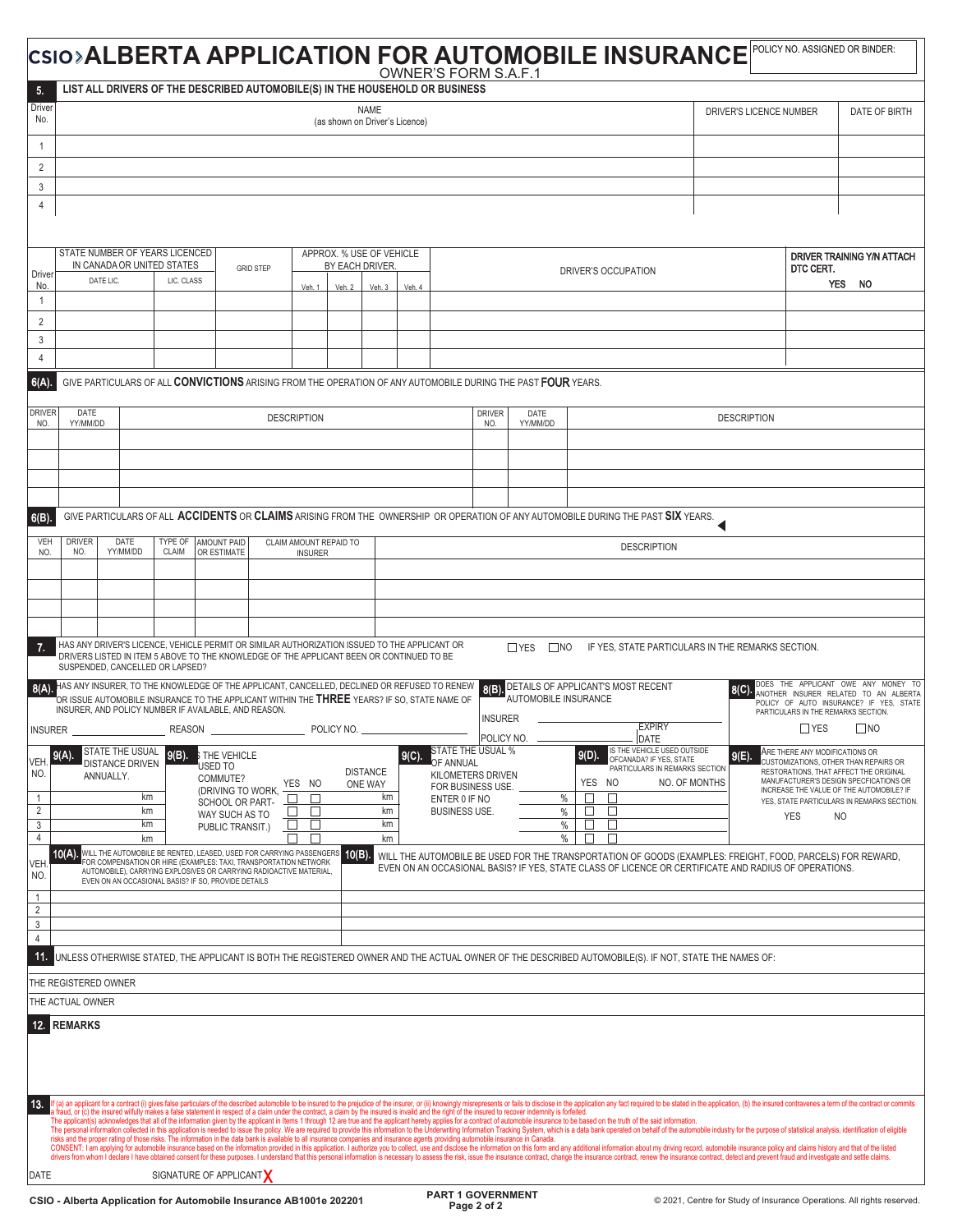|                                     |                                                                                                                                                                                                                                                                               |                                           |          |                                                                                                                                                                                                                                                                      |                    |                        |                                               |          |          | <b>OWNER'S FORM S.A.F.1</b>                                                                                                                                                                                                                                                                                                                                                                     |                             | CSIO>ALBERTA APPLICATION FOR AUTOMOBILE INSURANCE                                                                                                                                                                                                                                                                                                                                                                                                                |               |                                                                        |                                     | POLICY NO. ASSIGNED OR BINDER:                                                                                               |
|-------------------------------------|-------------------------------------------------------------------------------------------------------------------------------------------------------------------------------------------------------------------------------------------------------------------------------|-------------------------------------------|----------|----------------------------------------------------------------------------------------------------------------------------------------------------------------------------------------------------------------------------------------------------------------------|--------------------|------------------------|-----------------------------------------------|----------|----------|-------------------------------------------------------------------------------------------------------------------------------------------------------------------------------------------------------------------------------------------------------------------------------------------------------------------------------------------------------------------------------------------------|-----------------------------|------------------------------------------------------------------------------------------------------------------------------------------------------------------------------------------------------------------------------------------------------------------------------------------------------------------------------------------------------------------------------------------------------------------------------------------------------------------|---------------|------------------------------------------------------------------------|-------------------------------------|------------------------------------------------------------------------------------------------------------------------------|
| 5.                                  |                                                                                                                                                                                                                                                                               |                                           |          | LIST ALL DRIVERS OF THE DESCRIBED AUTOMOBILE(S) IN THE HOUSEHOLD OR BUSINESS                                                                                                                                                                                         |                    |                        |                                               |          |          |                                                                                                                                                                                                                                                                                                                                                                                                 |                             |                                                                                                                                                                                                                                                                                                                                                                                                                                                                  |               |                                                                        |                                     |                                                                                                                              |
| Driver<br>No.                       |                                                                                                                                                                                                                                                                               |                                           |          |                                                                                                                                                                                                                                                                      |                    |                        | <b>NAME</b><br>(as shown on Driver's Licence) |          |          |                                                                                                                                                                                                                                                                                                                                                                                                 |                             |                                                                                                                                                                                                                                                                                                                                                                                                                                                                  |               | DRIVER'S LICENCE NUMBER                                                |                                     | DATE OF BIRTH                                                                                                                |
| $\overline{1}$                      |                                                                                                                                                                                                                                                                               |                                           |          |                                                                                                                                                                                                                                                                      |                    |                        |                                               |          |          |                                                                                                                                                                                                                                                                                                                                                                                                 |                             |                                                                                                                                                                                                                                                                                                                                                                                                                                                                  |               |                                                                        |                                     |                                                                                                                              |
| $\overline{c}$<br>3                 |                                                                                                                                                                                                                                                                               |                                           |          |                                                                                                                                                                                                                                                                      |                    |                        |                                               |          |          |                                                                                                                                                                                                                                                                                                                                                                                                 |                             |                                                                                                                                                                                                                                                                                                                                                                                                                                                                  |               |                                                                        |                                     |                                                                                                                              |
| 4                                   |                                                                                                                                                                                                                                                                               |                                           |          |                                                                                                                                                                                                                                                                      |                    |                        |                                               |          |          |                                                                                                                                                                                                                                                                                                                                                                                                 |                             |                                                                                                                                                                                                                                                                                                                                                                                                                                                                  |               |                                                                        |                                     |                                                                                                                              |
|                                     |                                                                                                                                                                                                                                                                               |                                           |          |                                                                                                                                                                                                                                                                      |                    |                        |                                               |          |          |                                                                                                                                                                                                                                                                                                                                                                                                 |                             |                                                                                                                                                                                                                                                                                                                                                                                                                                                                  |               |                                                                        |                                     |                                                                                                                              |
| Driver<br>No.                       | STATE NUMBER OF YEARS LICENCED<br>APPROX. % USE OF VEHICLE<br>DRIVER TRAINING Y/N ATTACH<br>IN CANADA OR UNITED STATES<br>BY EACH DRIVER.<br>DTC CERT.<br><b>GRID STEP</b><br>DRIVER'S OCCUPATION<br>LIC. CLASS<br>DATE LIC.<br>YES NO<br>Veh. 2<br>Veh.3<br>Veh. 4<br>Veh. 1 |                                           |          |                                                                                                                                                                                                                                                                      |                    |                        |                                               |          |          |                                                                                                                                                                                                                                                                                                                                                                                                 |                             |                                                                                                                                                                                                                                                                                                                                                                                                                                                                  |               |                                                                        |                                     |                                                                                                                              |
| $\overline{1}$                      |                                                                                                                                                                                                                                                                               |                                           |          |                                                                                                                                                                                                                                                                      |                    |                        |                                               |          |          |                                                                                                                                                                                                                                                                                                                                                                                                 |                             |                                                                                                                                                                                                                                                                                                                                                                                                                                                                  |               |                                                                        |                                     |                                                                                                                              |
| 2<br>3                              |                                                                                                                                                                                                                                                                               |                                           |          |                                                                                                                                                                                                                                                                      |                    |                        |                                               |          |          |                                                                                                                                                                                                                                                                                                                                                                                                 |                             |                                                                                                                                                                                                                                                                                                                                                                                                                                                                  |               |                                                                        |                                     |                                                                                                                              |
| $\overline{4}$                      |                                                                                                                                                                                                                                                                               |                                           |          |                                                                                                                                                                                                                                                                      |                    |                        |                                               |          |          |                                                                                                                                                                                                                                                                                                                                                                                                 |                             |                                                                                                                                                                                                                                                                                                                                                                                                                                                                  |               |                                                                        |                                     |                                                                                                                              |
| 6(A)                                |                                                                                                                                                                                                                                                                               |                                           |          |                                                                                                                                                                                                                                                                      |                    |                        |                                               |          |          | GIVE PARTICULARS OF ALL CONVICTIONS ARISING FROM THE OPERATION OF ANY AUTOMOBILE DURING THE PAST FOUR YEARS.                                                                                                                                                                                                                                                                                    |                             |                                                                                                                                                                                                                                                                                                                                                                                                                                                                  |               |                                                                        |                                     |                                                                                                                              |
| <b>DRIVER</b><br>NO.                | DATE<br>YY/MM/DD                                                                                                                                                                                                                                                              |                                           |          |                                                                                                                                                                                                                                                                      | <b>DESCRIPTION</b> |                        |                                               |          |          | <b>DRIVER</b><br>NO.                                                                                                                                                                                                                                                                                                                                                                            | DATE<br>YY/MM/DD            |                                                                                                                                                                                                                                                                                                                                                                                                                                                                  |               | <b>DESCRIPTION</b>                                                     |                                     |                                                                                                                              |
|                                     |                                                                                                                                                                                                                                                                               |                                           |          |                                                                                                                                                                                                                                                                      |                    |                        |                                               |          |          |                                                                                                                                                                                                                                                                                                                                                                                                 |                             |                                                                                                                                                                                                                                                                                                                                                                                                                                                                  |               |                                                                        |                                     |                                                                                                                              |
|                                     |                                                                                                                                                                                                                                                                               |                                           |          |                                                                                                                                                                                                                                                                      |                    |                        |                                               |          |          |                                                                                                                                                                                                                                                                                                                                                                                                 |                             |                                                                                                                                                                                                                                                                                                                                                                                                                                                                  |               |                                                                        |                                     |                                                                                                                              |
|                                     |                                                                                                                                                                                                                                                                               |                                           |          |                                                                                                                                                                                                                                                                      |                    |                        |                                               |          |          |                                                                                                                                                                                                                                                                                                                                                                                                 |                             |                                                                                                                                                                                                                                                                                                                                                                                                                                                                  |               |                                                                        |                                     |                                                                                                                              |
| 6(B)                                |                                                                                                                                                                                                                                                                               |                                           |          |                                                                                                                                                                                                                                                                      |                    |                        |                                               |          |          |                                                                                                                                                                                                                                                                                                                                                                                                 |                             | GIVE PARTICULARS OF ALL ACCIDENTS OR CLAIMS ARISING FROM THE OWNERSHIP OR OPERATION OF ANY AUTOMOBILE DURING THE PAST SIX YEARS.                                                                                                                                                                                                                                                                                                                                 |               |                                                                        |                                     |                                                                                                                              |
| VEH                                 | <b>DRIVER</b>                                                                                                                                                                                                                                                                 | DATE                                      | TYPE OF  | <b>AMOUNT PAID</b>                                                                                                                                                                                                                                                   |                    | CLAIM AMOUNT REPAID TO |                                               |          |          |                                                                                                                                                                                                                                                                                                                                                                                                 |                             |                                                                                                                                                                                                                                                                                                                                                                                                                                                                  |               |                                                                        |                                     |                                                                                                                              |
| NO.                                 | NO.                                                                                                                                                                                                                                                                           | YY/MM/DD                                  | CLAIM    | OR ESTIMATE                                                                                                                                                                                                                                                          |                    | <b>INSURER</b>         |                                               |          |          |                                                                                                                                                                                                                                                                                                                                                                                                 |                             | <b>DESCRIPTION</b>                                                                                                                                                                                                                                                                                                                                                                                                                                               |               |                                                                        |                                     |                                                                                                                              |
|                                     |                                                                                                                                                                                                                                                                               |                                           |          |                                                                                                                                                                                                                                                                      |                    |                        |                                               |          |          |                                                                                                                                                                                                                                                                                                                                                                                                 |                             |                                                                                                                                                                                                                                                                                                                                                                                                                                                                  |               |                                                                        |                                     |                                                                                                                              |
|                                     |                                                                                                                                                                                                                                                                               |                                           |          |                                                                                                                                                                                                                                                                      |                    |                        |                                               |          |          |                                                                                                                                                                                                                                                                                                                                                                                                 |                             |                                                                                                                                                                                                                                                                                                                                                                                                                                                                  |               |                                                                        |                                     |                                                                                                                              |
|                                     |                                                                                                                                                                                                                                                                               |                                           |          |                                                                                                                                                                                                                                                                      |                    |                        |                                               |          |          |                                                                                                                                                                                                                                                                                                                                                                                                 |                             |                                                                                                                                                                                                                                                                                                                                                                                                                                                                  |               |                                                                        |                                     |                                                                                                                              |
| 7.                                  |                                                                                                                                                                                                                                                                               | SUSPENDED, CANCELLED OR LAPSED?           |          | HAS ANY DRIVER'S LICENCE, VEHICLE PERMIT OR SIMILAR AUTHORIZATION ISSUED TO THE APPLICANT OR<br>DRIVERS LISTED IN ITEM 5 ABOVE TO THE KNOWLEDGE OF THE APPLICANT BEEN OR CONTINUED TO BE                                                                             |                    |                        |                                               |          |          |                                                                                                                                                                                                                                                                                                                                                                                                 | $\Box$ YES $\Box$ NO        |                                                                                                                                                                                                                                                                                                                                                                                                                                                                  |               | IF YES, STATE PARTICULARS IN THE REMARKS SECTION.                      |                                     |                                                                                                                              |
| 8(A)                                |                                                                                                                                                                                                                                                                               |                                           |          | HAS ANY INSURER, TO THE KNOWLEDGE OF THE APPLICANT, CANCELLED, DECLINED OR REFUSED TO RENEW<br>OR ISSUE AUTOMOBILE INSURANCE TO THE APPLICANT WITHIN THE THREE YEARS? IF SO, STATE NAME OF<br>INSURER, AND POLICY NUMBER IF AVAILABLE, AND REASON.                   |                    |                        |                                               |          |          | 8(B)<br><b>INSURER</b>                                                                                                                                                                                                                                                                                                                                                                          | <b>AUTOMOBILE INSURANCE</b> | DETAILS OF APPLICANT'S MOST RECENT                                                                                                                                                                                                                                                                                                                                                                                                                               |               |                                                                        | PARTICULARS IN THE REMARKS SECTION. | DOES THE APPLICANT OWE ANY MONEY TO<br>ANOTHER INSURER RELATED TO AN ALBERTA<br>POLICY OF AUTO INSURANCE? IF YES, STATE      |
| <b>INSURER</b>                      |                                                                                                                                                                                                                                                                               |                                           |          |                                                                                                                                                                                                                                                                      |                    |                        |                                               |          |          | POLICY NO.                                                                                                                                                                                                                                                                                                                                                                                      |                             | <b>EXPIRY</b><br>DATE                                                                                                                                                                                                                                                                                                                                                                                                                                            |               |                                                                        | $\Box$ YES                          | $\square$ NO                                                                                                                 |
| <b>VEH</b>                          | 9(A)                                                                                                                                                                                                                                                                          | STATE THE USUAL<br><b>DISTANCE DRIVEN</b> | $9(B)$ . | <b>S THE VEHICLE</b><br>'USED TO                                                                                                                                                                                                                                     |                    |                        |                                               |          | $9(C)$ . | STATE THE USUAL %<br>OF ANNUAL                                                                                                                                                                                                                                                                                                                                                                  |                             | IS THE VEHICLE USED OUTSIDE<br>$9(D)$ .<br>OFCANADA? IF YES, STATE                                                                                                                                                                                                                                                                                                                                                                                               |               | $9(E)$ .                                                               | ARE THERE ANY MODIFICATIONS OR      | CUSTOMIZATIONS, OTHER THAN REPAIRS OR                                                                                        |
| NO.                                 |                                                                                                                                                                                                                                                                               | ANNUALLY.                                 |          | COMMUTE?                                                                                                                                                                                                                                                             |                    | YES NO                 | <b>DISTANCE</b><br>ONE WAY                    |          |          | KILOMETERS DRIVEN<br>FOR BUSINESS USE.                                                                                                                                                                                                                                                                                                                                                          |                             | PARTICULARS IN REMARKS SECTION<br>YES NO                                                                                                                                                                                                                                                                                                                                                                                                                         | NO. OF MONTHS |                                                                        |                                     | RESTORATIONS, THAT AFFECT THE ORIGINAL<br>MANUFACTURER'S DESIGN SPECFICATIONS OR<br>INCREASE THE VALUE OF THE AUTOMOBILE? IF |
| $\overline{1}$<br>$\overline{2}$    |                                                                                                                                                                                                                                                                               | km<br>km                                  |          | (DRIVING TO WORK,<br>SCHOOL OR PART-                                                                                                                                                                                                                                 | $\Box$<br>$\Box$   | П<br>□                 |                                               | km<br>km |          | ENTER 0 IF NO<br><b>BUSINESS USE.</b>                                                                                                                                                                                                                                                                                                                                                           |                             | П<br>%<br>□<br>%<br>$\Box$                                                                                                                                                                                                                                                                                                                                                                                                                                       |               |                                                                        |                                     | YES, STATE PARTICULARS IN REMARKS SECTION.                                                                                   |
| $\mathbf{3}$                        |                                                                                                                                                                                                                                                                               | km                                        |          | WAY SUCH AS TO<br>PUBLIC TRANSIT.)                                                                                                                                                                                                                                   | $\Box$             | ⊔                      |                                               | km       |          |                                                                                                                                                                                                                                                                                                                                                                                                 |                             | %<br>ப<br>$\Box$                                                                                                                                                                                                                                                                                                                                                                                                                                                 |               |                                                                        | YES                                 | NO.                                                                                                                          |
| $\overline{4}$<br><b>VEH</b><br>NO. | 10(A)                                                                                                                                                                                                                                                                         | km                                        |          | WILL THE AUTOMOBILE BE RENTED, LEASED, USED FOR CARRYING PASSENGERS<br>FOR COMPENSATION OR HIRE (EXAMPLES: TAXI, TRANSPORTATION NETWORK<br>AUTOMOBILE), CARRYING EXPLOSIVES OR CARRYING RADIOACTIVE MATERIAL,<br>EVEN ON AN OCCASIONAL BASIS? IF SO, PROVIDE DETAILS |                    | П                      | 10(B)                                         | km       |          |                                                                                                                                                                                                                                                                                                                                                                                                 |                             | %<br>П<br>П<br>WILL THE AUTOMOBILE BE USED FOR THE TRANSPORTATION OF GOODS (EXAMPLES: FREIGHT, FOOD, PARCELS) FOR REWARD,<br>EVEN ON AN OCCASIONAL BASIS? IF YES, STATE CLASS OF LICENCE OR CERTIFICATE AND RADIUS OF OPERATIONS.                                                                                                                                                                                                                                |               |                                                                        |                                     |                                                                                                                              |
| $\mathbf{1}$<br>$\overline{2}$      |                                                                                                                                                                                                                                                                               |                                           |          |                                                                                                                                                                                                                                                                      |                    |                        |                                               |          |          |                                                                                                                                                                                                                                                                                                                                                                                                 |                             |                                                                                                                                                                                                                                                                                                                                                                                                                                                                  |               |                                                                        |                                     |                                                                                                                              |
| $\mathbf{3}$                        |                                                                                                                                                                                                                                                                               |                                           |          |                                                                                                                                                                                                                                                                      |                    |                        |                                               |          |          |                                                                                                                                                                                                                                                                                                                                                                                                 |                             |                                                                                                                                                                                                                                                                                                                                                                                                                                                                  |               |                                                                        |                                     |                                                                                                                              |
| $\overline{4}$<br>11.               |                                                                                                                                                                                                                                                                               |                                           |          |                                                                                                                                                                                                                                                                      |                    |                        |                                               |          |          |                                                                                                                                                                                                                                                                                                                                                                                                 |                             | UNLESS OTHERWISE STATED, THE APPLICANT IS BOTH THE REGISTERED OWNER AND THE ACTUAL OWNER OF THE DESCRIBED AUTOMOBILE(S). IF NOT, STATE THE NAMES OF:                                                                                                                                                                                                                                                                                                             |               |                                                                        |                                     |                                                                                                                              |
|                                     | THE REGISTERED OWNER                                                                                                                                                                                                                                                          |                                           |          |                                                                                                                                                                                                                                                                      |                    |                        |                                               |          |          |                                                                                                                                                                                                                                                                                                                                                                                                 |                             |                                                                                                                                                                                                                                                                                                                                                                                                                                                                  |               |                                                                        |                                     |                                                                                                                              |
|                                     | THE ACTUAL OWNER                                                                                                                                                                                                                                                              |                                           |          |                                                                                                                                                                                                                                                                      |                    |                        |                                               |          |          |                                                                                                                                                                                                                                                                                                                                                                                                 |                             |                                                                                                                                                                                                                                                                                                                                                                                                                                                                  |               |                                                                        |                                     |                                                                                                                              |
|                                     | <b>REMARKS</b>                                                                                                                                                                                                                                                                |                                           |          |                                                                                                                                                                                                                                                                      |                    |                        |                                               |          |          |                                                                                                                                                                                                                                                                                                                                                                                                 |                             |                                                                                                                                                                                                                                                                                                                                                                                                                                                                  |               |                                                                        |                                     |                                                                                                                              |
| 13.                                 |                                                                                                                                                                                                                                                                               |                                           |          |                                                                                                                                                                                                                                                                      |                    |                        |                                               |          |          | a fraud, or (c) the insured wilfully makes a false statement in respect of a claim under the contract, a claim by the insured is invalid and the right of the insured to recover indemnity is forfeited.<br>risks and the proper rating of those risks. The information in the data bank is available to all insurance companies and insurance agents providing automobile insurance in Canada. |                             | If (a) an applicant for a contract (i) gives false particulars of the described automobile to be insured to the prejudice of the insurer, or (ii) knowingly misrepresents or falls to disclose in the application any fact req<br>The applicant(s) acknowledges that all of the information given by the applicant in Items 1 through 12 are true and the applicant hereby applics for a contract of automobile insurance to be based on the truth of the said i |               |                                                                        |                                     |                                                                                                                              |
|                                     |                                                                                                                                                                                                                                                                               |                                           |          |                                                                                                                                                                                                                                                                      |                    |                        |                                               |          |          |                                                                                                                                                                                                                                                                                                                                                                                                 |                             | CONSENT: I am applying for automobile insurance based on the information provided in this application. I authorize you to collect, use and disclose the information on this form and any additional information about my drivi<br>drivers from whom I declare I have obtained consent for these purposes. I understand that this personal information is necessary to assess the risk, issue the insurance contract, change the insurance contract, enew the ins |               |                                                                        |                                     |                                                                                                                              |
| DATE                                |                                                                                                                                                                                                                                                                               |                                           |          | SIGNATURE OF APPLICANT<br>CSIO - Alberta Application for Automobile Insurance AB1001e 202201                                                                                                                                                                         |                    |                        |                                               |          |          | <b>PART 1 GOVERNMENT</b>                                                                                                                                                                                                                                                                                                                                                                        |                             |                                                                                                                                                                                                                                                                                                                                                                                                                                                                  |               | © 2021, Centre for Study of Insurance Operations. All rights reserved. |                                     |                                                                                                                              |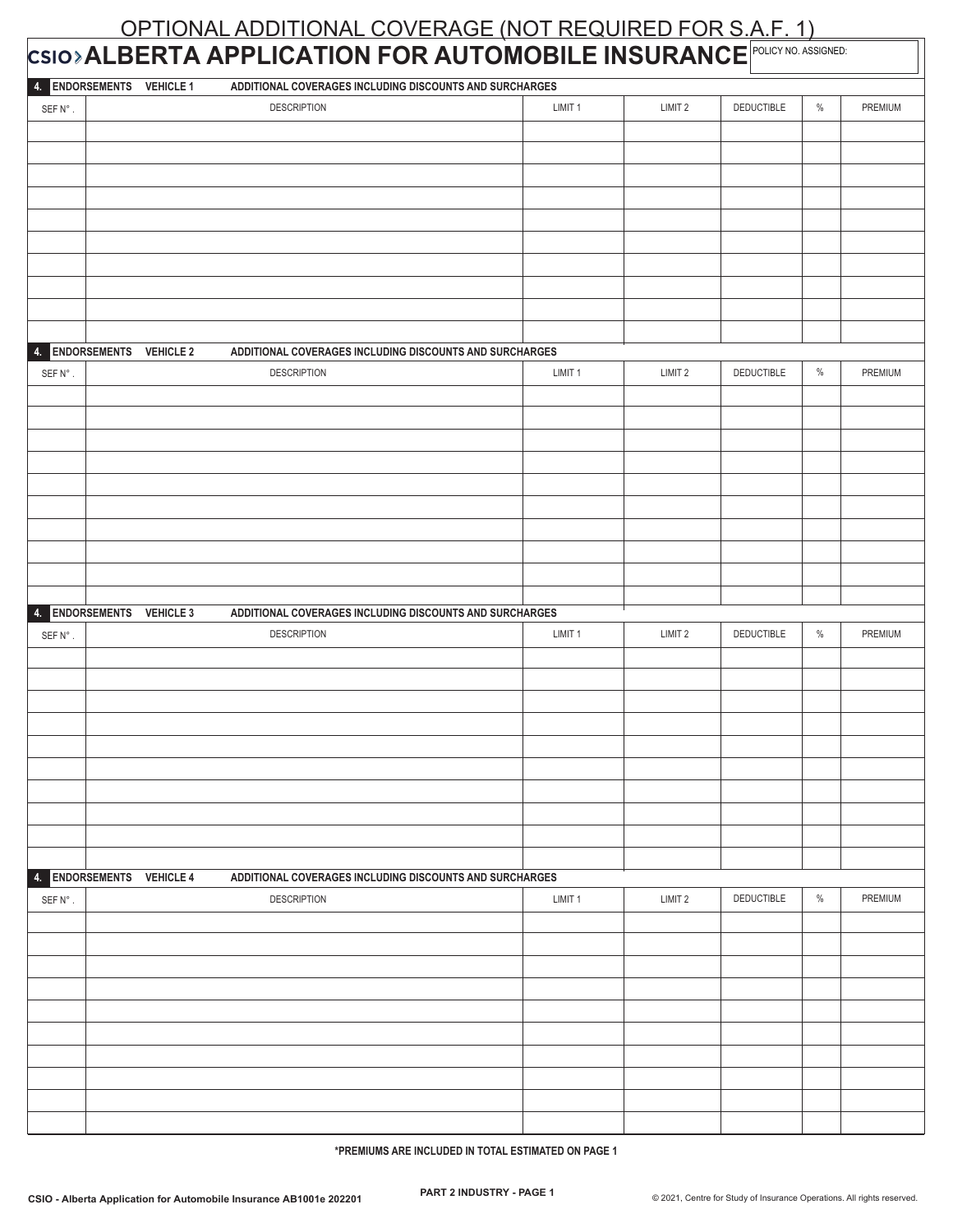## OPTIONAL ADDITIONAL COVERAGE (NOT REQUIRED FOR S.A.F. 1) **ALBERTA APPLICATION FOR AUTOMOBILE INSURANCE FOLICY NO. ASSIGNED:**

| 4. ENDORSEMENTS VEHICLE 1 | ADDITIONAL COVERAGES INCLUDING DISCOUNTS AND SURCHARGES |         |                    |            |      |         |
|---------------------------|---------------------------------------------------------|---------|--------------------|------------|------|---------|
| SEFN°.                    | <b>DESCRIPTION</b>                                      | LIMIT 1 | LIMIT 2            | DEDUCTIBLE | $\%$ | PREMIUM |
|                           |                                                         |         |                    |            |      |         |
|                           |                                                         |         |                    |            |      |         |
|                           |                                                         |         |                    |            |      |         |
|                           |                                                         |         |                    |            |      |         |
|                           |                                                         |         |                    |            |      |         |
|                           |                                                         |         |                    |            |      |         |
|                           |                                                         |         |                    |            |      |         |
|                           |                                                         |         |                    |            |      |         |
|                           |                                                         |         |                    |            |      |         |
|                           |                                                         |         |                    |            |      |         |
|                           |                                                         |         |                    |            |      |         |
|                           |                                                         |         |                    |            |      |         |
| 4. ENDORSEMENTS VEHICLE 2 | ADDITIONAL COVERAGES INCLUDING DISCOUNTS AND SURCHARGES |         |                    |            |      |         |
| SEFN°.                    | <b>DESCRIPTION</b>                                      | LIMIT 1 | LIMIT 2            | DEDUCTIBLE | $\%$ | PREMIUM |
|                           |                                                         |         |                    |            |      |         |
|                           |                                                         |         |                    |            |      |         |
|                           |                                                         |         |                    |            |      |         |
|                           |                                                         |         |                    |            |      |         |
|                           |                                                         |         |                    |            |      |         |
|                           |                                                         |         |                    |            |      |         |
|                           |                                                         |         |                    |            |      |         |
|                           |                                                         |         |                    |            |      |         |
|                           |                                                         |         |                    |            |      |         |
|                           |                                                         |         |                    |            |      |         |
|                           |                                                         |         |                    |            |      |         |
| 4. ENDORSEMENTS VEHICLE 3 | ADDITIONAL COVERAGES INCLUDING DISCOUNTS AND SURCHARGES |         |                    |            |      |         |
| SEFN°.                    | <b>DESCRIPTION</b>                                      | LIMIT 1 | LIMIT <sub>2</sub> | DEDUCTIBLE | $\%$ | PREMIUM |
|                           |                                                         |         |                    |            |      |         |
|                           |                                                         |         |                    |            |      |         |
|                           |                                                         |         |                    |            |      |         |
|                           |                                                         |         |                    |            |      |         |
|                           |                                                         |         |                    |            |      |         |
|                           |                                                         |         |                    |            |      |         |
|                           |                                                         |         |                    |            |      |         |
|                           |                                                         |         |                    |            |      |         |
|                           |                                                         |         |                    |            |      |         |
|                           |                                                         |         |                    |            |      |         |
|                           |                                                         |         |                    |            |      |         |
|                           |                                                         |         |                    |            |      |         |
| 4. ENDORSEMENTS VEHICLE 4 | ADDITIONAL COVERAGES INCLUDING DISCOUNTS AND SURCHARGES |         |                    |            |      |         |
| SEFN°.                    | <b>DESCRIPTION</b>                                      | LIMIT 1 | LIMIT <sub>2</sub> | DEDUCTIBLE | $\%$ | PREMIUM |
|                           |                                                         |         |                    |            |      |         |
|                           |                                                         |         |                    |            |      |         |
|                           |                                                         |         |                    |            |      |         |
|                           |                                                         |         |                    |            |      |         |
|                           |                                                         |         |                    |            |      |         |
|                           |                                                         |         |                    |            |      |         |
|                           |                                                         |         |                    |            |      |         |
|                           |                                                         |         |                    |            |      |         |
|                           |                                                         |         |                    |            |      |         |
|                           |                                                         |         |                    |            |      |         |
|                           |                                                         |         |                    |            |      |         |
|                           |                                                         |         |                    |            |      |         |

**\*PREMIUMS ARE INCLUDED IN TOTAL ESTIMATED ON PAGE 1**

Т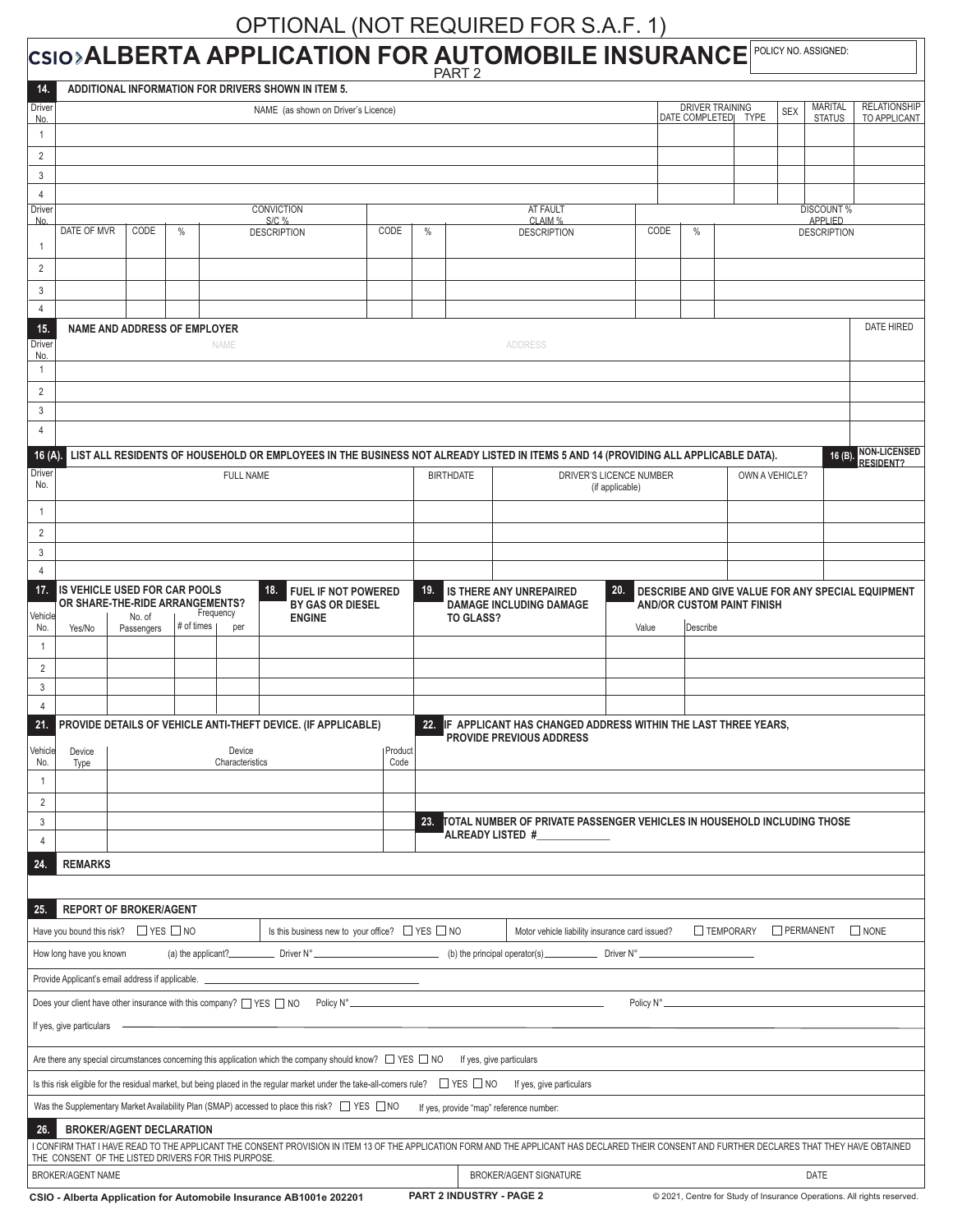## OPTIONAL (NOT REQUIRED FOR S.A.F. 1)

SIO<sup>></sup>**ALBERTA APPLICATION FOR AUTOMOBILE INSURANCE** POLICY NO. ASSIGNED:

 $\mathsf{I}$ 

|                |                                                        |                                     |            |                                                     |                                                                                                                                                         |                 | PART <sub>2</sub> |           |                                                                                                                                                                                                |                 |      |                        |                                   |                |             |                                     |                                                                        |
|----------------|--------------------------------------------------------|-------------------------------------|------------|-----------------------------------------------------|---------------------------------------------------------------------------------------------------------------------------------------------------------|-----------------|-------------------|-----------|------------------------------------------------------------------------------------------------------------------------------------------------------------------------------------------------|-----------------|------|------------------------|-----------------------------------|----------------|-------------|-------------------------------------|------------------------------------------------------------------------|
| 14.            |                                                        |                                     |            |                                                     | ADDITIONAL INFORMATION FOR DRIVERS SHOWN IN ITEM 5.                                                                                                     |                 |                   |           |                                                                                                                                                                                                |                 |      |                        |                                   |                |             |                                     |                                                                        |
| Driver         | NAME (as shown on Driver's Licence)                    |                                     |            |                                                     |                                                                                                                                                         |                 |                   |           |                                                                                                                                                                                                |                 |      | <b>DRIVER TRAINING</b> |                                   | <b>SEX</b>     |             | <b>MARITAL</b>                      | <b>RELATIONSHIP</b>                                                    |
| <u>No.</u>     |                                                        |                                     |            |                                                     |                                                                                                                                                         |                 |                   |           |                                                                                                                                                                                                |                 |      |                        | DATE COMPLETED  TYPE              |                |             | <b>STATUS</b>                       | TO APPLICANT                                                           |
| $\overline{1}$ |                                                        |                                     |            |                                                     |                                                                                                                                                         |                 |                   |           |                                                                                                                                                                                                |                 |      |                        |                                   |                |             |                                     |                                                                        |
| 2              |                                                        |                                     |            |                                                     |                                                                                                                                                         |                 |                   |           |                                                                                                                                                                                                |                 |      |                        |                                   |                |             |                                     |                                                                        |
| 3              |                                                        |                                     |            |                                                     |                                                                                                                                                         |                 |                   |           |                                                                                                                                                                                                |                 |      |                        |                                   |                |             |                                     |                                                                        |
| $\overline{4}$ |                                                        |                                     |            |                                                     |                                                                                                                                                         |                 |                   |           |                                                                                                                                                                                                |                 |      |                        |                                   |                |             |                                     |                                                                        |
| Driver         |                                                        |                                     |            |                                                     | CONVICTION                                                                                                                                              |                 |                   |           | AT FAULT<br>CLAIM %                                                                                                                                                                            |                 |      |                        |                                   |                |             | <b>DISCOUNT %</b><br><b>APPLIED</b> |                                                                        |
| No.            | DATE OF MVR                                            | CODE                                | $\%$       |                                                     | $S/C$ %<br><b>DESCRIPTION</b>                                                                                                                           | CODE            | $\%$              |           | <b>DESCRIPTION</b>                                                                                                                                                                             |                 | CODE | $\%$                   |                                   |                |             | <b>DESCRIPTION</b>                  |                                                                        |
| $\mathbf{1}$   |                                                        |                                     |            |                                                     |                                                                                                                                                         |                 |                   |           |                                                                                                                                                                                                |                 |      |                        |                                   |                |             |                                     |                                                                        |
| 2              |                                                        |                                     |            |                                                     |                                                                                                                                                         |                 |                   |           |                                                                                                                                                                                                |                 |      |                        |                                   |                |             |                                     |                                                                        |
|                |                                                        |                                     |            |                                                     |                                                                                                                                                         |                 |                   |           |                                                                                                                                                                                                |                 |      |                        |                                   |                |             |                                     |                                                                        |
| 3              |                                                        |                                     |            |                                                     |                                                                                                                                                         |                 |                   |           |                                                                                                                                                                                                |                 |      |                        |                                   |                |             |                                     |                                                                        |
| 4              |                                                        |                                     |            |                                                     |                                                                                                                                                         |                 |                   |           |                                                                                                                                                                                                |                 |      |                        |                                   |                |             |                                     |                                                                        |
| 15.            |                                                        | <b>NAME AND ADDRESS OF EMPLOYER</b> |            |                                                     |                                                                                                                                                         |                 |                   |           |                                                                                                                                                                                                |                 |      |                        |                                   |                |             |                                     | DATE HIRED                                                             |
| Driver<br>No.  |                                                        |                                     |            | <b>NAME</b>                                         |                                                                                                                                                         |                 |                   |           | <b>ADDRESS</b>                                                                                                                                                                                 |                 |      |                        |                                   |                |             |                                     |                                                                        |
| $\overline{1}$ |                                                        |                                     |            |                                                     |                                                                                                                                                         |                 |                   |           |                                                                                                                                                                                                |                 |      |                        |                                   |                |             |                                     |                                                                        |
| $\overline{2}$ |                                                        |                                     |            |                                                     |                                                                                                                                                         |                 |                   |           |                                                                                                                                                                                                |                 |      |                        |                                   |                |             |                                     |                                                                        |
|                |                                                        |                                     |            |                                                     |                                                                                                                                                         |                 |                   |           |                                                                                                                                                                                                |                 |      |                        |                                   |                |             |                                     |                                                                        |
| 3              |                                                        |                                     |            |                                                     |                                                                                                                                                         |                 |                   |           |                                                                                                                                                                                                |                 |      |                        |                                   |                |             |                                     |                                                                        |
| $\overline{4}$ |                                                        |                                     |            |                                                     |                                                                                                                                                         |                 |                   |           |                                                                                                                                                                                                |                 |      |                        |                                   |                |             |                                     |                                                                        |
| 16(A)          |                                                        |                                     |            |                                                     |                                                                                                                                                         |                 |                   |           | LIST ALL RESIDENTS OF HOUSEHOLD OR EMPLOYEES IN THE BUSINESS NOT ALREADY LISTED IN ITEMS 5 AND 14 (PROVIDING ALL APPLICABLE DATA).                                                             |                 |      |                        |                                   |                |             |                                     | 16 (B). NON-LICENSED<br><b>RESIDENT?</b>                               |
| Driver         |                                                        |                                     |            | FULL NAME                                           |                                                                                                                                                         |                 | <b>BIRTHDATE</b>  |           | DRIVER'S LICENCE NUMBER                                                                                                                                                                        |                 |      |                        |                                   | OWN A VEHICLE? |             |                                     |                                                                        |
| No.            |                                                        |                                     |            |                                                     |                                                                                                                                                         |                 |                   |           |                                                                                                                                                                                                | (if applicable) |      |                        |                                   |                |             |                                     |                                                                        |
| 1              |                                                        |                                     |            |                                                     |                                                                                                                                                         |                 |                   |           |                                                                                                                                                                                                |                 |      |                        |                                   |                |             |                                     |                                                                        |
|                |                                                        |                                     |            |                                                     |                                                                                                                                                         |                 |                   |           |                                                                                                                                                                                                |                 |      |                        |                                   |                |             |                                     |                                                                        |
| 2              |                                                        |                                     |            |                                                     |                                                                                                                                                         |                 |                   |           |                                                                                                                                                                                                |                 |      |                        |                                   |                |             |                                     |                                                                        |
| 3              |                                                        |                                     |            |                                                     |                                                                                                                                                         |                 |                   |           |                                                                                                                                                                                                |                 |      |                        |                                   |                |             |                                     |                                                                        |
| $\overline{4}$ |                                                        |                                     |            |                                                     |                                                                                                                                                         |                 |                   |           |                                                                                                                                                                                                |                 |      |                        |                                   |                |             |                                     |                                                                        |
| 17.            |                                                        | IS VEHICLE USED FOR CAR POOLS       |            |                                                     | 18.<br><b>FUEL IF NOT POWERED</b>                                                                                                                       |                 | 19.               |           | IS THERE ANY UNREPAIRED                                                                                                                                                                        | 20.             |      |                        |                                   |                |             |                                     | DESCRIBE AND GIVE VALUE FOR ANY SPECIAL EQUIPMENT                      |
|                |                                                        | OR SHARE-THE-RIDE ARRANGEMENTS?     |            | Frequency                                           | BY GAS OR DIESEL                                                                                                                                        |                 |                   |           | <b>DAMAGE INCLUDING DAMAGE</b>                                                                                                                                                                 |                 |      |                        | <b>AND/OR CUSTOM PAINT FINISH</b> |                |             |                                     |                                                                        |
| Vehicle<br>No. | Yes/No                                                 | No. of<br>Passengers                | # of times | per                                                 | <b>ENGINE</b>                                                                                                                                           |                 |                   | TO GLASS? |                                                                                                                                                                                                | Value           |      | Describe               |                                   |                |             |                                     |                                                                        |
| $\overline{1}$ |                                                        |                                     |            |                                                     |                                                                                                                                                         |                 |                   |           |                                                                                                                                                                                                |                 |      |                        |                                   |                |             |                                     |                                                                        |
|                |                                                        |                                     |            |                                                     |                                                                                                                                                         |                 |                   |           |                                                                                                                                                                                                |                 |      |                        |                                   |                |             |                                     |                                                                        |
| $\overline{2}$ |                                                        |                                     |            |                                                     |                                                                                                                                                         |                 |                   |           |                                                                                                                                                                                                |                 |      |                        |                                   |                |             |                                     |                                                                        |
| 3              |                                                        |                                     |            |                                                     |                                                                                                                                                         |                 |                   |           |                                                                                                                                                                                                |                 |      |                        |                                   |                |             |                                     |                                                                        |
| 4              |                                                        |                                     |            |                                                     |                                                                                                                                                         |                 |                   |           |                                                                                                                                                                                                |                 |      |                        |                                   |                |             |                                     |                                                                        |
| 21.            |                                                        |                                     |            |                                                     | PROVIDE DETAILS OF VEHICLE ANTI-THEFT DEVICE. (IF APPLICABLE)                                                                                           |                 | 22.               |           | IF APPLICANT HAS CHANGED ADDRESS WITHIN THE LAST THREE YEARS,<br><b>PROVIDE PREVIOUS ADDRESS</b>                                                                                               |                 |      |                        |                                   |                |             |                                     |                                                                        |
| Vehicle        | Device                                                 |                                     |            | Device                                              |                                                                                                                                                         | <b> Product</b> |                   |           |                                                                                                                                                                                                |                 |      |                        |                                   |                |             |                                     |                                                                        |
| No.            | Type                                                   |                                     |            | Characteristics                                     |                                                                                                                                                         | Code            |                   |           |                                                                                                                                                                                                |                 |      |                        |                                   |                |             |                                     |                                                                        |
| $\mathbf{1}$   |                                                        |                                     |            |                                                     |                                                                                                                                                         |                 |                   |           |                                                                                                                                                                                                |                 |      |                        |                                   |                |             |                                     |                                                                        |
| $\overline{2}$ |                                                        |                                     |            |                                                     |                                                                                                                                                         |                 |                   |           |                                                                                                                                                                                                |                 |      |                        |                                   |                |             |                                     |                                                                        |
| 3              |                                                        |                                     |            |                                                     |                                                                                                                                                         |                 | 23.               |           | TOTAL NUMBER OF PRIVATE PASSENGER VEHICLES IN HOUSEHOLD INCLUDING THOSE                                                                                                                        |                 |      |                        |                                   |                |             |                                     |                                                                        |
| $\overline{4}$ |                                                        |                                     |            |                                                     |                                                                                                                                                         |                 |                   |           | ALREADY LISTED #______________                                                                                                                                                                 |                 |      |                        |                                   |                |             |                                     |                                                                        |
|                |                                                        |                                     |            |                                                     |                                                                                                                                                         |                 |                   |           |                                                                                                                                                                                                |                 |      |                        |                                   |                |             |                                     |                                                                        |
| 24.            | <b>REMARKS</b>                                         |                                     |            |                                                     |                                                                                                                                                         |                 |                   |           |                                                                                                                                                                                                |                 |      |                        |                                   |                |             |                                     |                                                                        |
|                |                                                        |                                     |            |                                                     |                                                                                                                                                         |                 |                   |           |                                                                                                                                                                                                |                 |      |                        |                                   |                |             |                                     |                                                                        |
| 25.            |                                                        | <b>REPORT OF BROKER/AGENT</b>       |            |                                                     |                                                                                                                                                         |                 |                   |           |                                                                                                                                                                                                |                 |      |                        |                                   |                |             |                                     |                                                                        |
|                |                                                        |                                     |            |                                                     |                                                                                                                                                         |                 |                   |           |                                                                                                                                                                                                |                 |      |                        |                                   |                |             |                                     |                                                                        |
|                | Have you bound this risk? □ YES □ NO                   |                                     |            |                                                     | Is this business new to your office? $\Box$ YES $\Box$ NO                                                                                               |                 |                   |           | Motor vehicle liability insurance card issued?                                                                                                                                                 |                 |      |                        | $\Box$ TEMPORARY $\Box$ PERMANENT |                |             |                                     | NONE                                                                   |
|                | How long have you known                                |                                     |            |                                                     |                                                                                                                                                         |                 |                   |           |                                                                                                                                                                                                |                 |      |                        |                                   |                |             |                                     |                                                                        |
|                |                                                        |                                     |            |                                                     |                                                                                                                                                         |                 |                   |           |                                                                                                                                                                                                |                 |      |                        |                                   |                |             |                                     |                                                                        |
|                | Provide Applicant's email address if applicable. _____ |                                     |            |                                                     |                                                                                                                                                         |                 |                   |           |                                                                                                                                                                                                |                 |      |                        |                                   |                |             |                                     |                                                                        |
|                |                                                        |                                     |            |                                                     |                                                                                                                                                         |                 |                   |           |                                                                                                                                                                                                |                 |      |                        |                                   |                |             |                                     |                                                                        |
|                | If yes, give particulars -                             |                                     |            |                                                     |                                                                                                                                                         |                 |                   |           |                                                                                                                                                                                                |                 |      |                        |                                   |                |             |                                     |                                                                        |
|                |                                                        |                                     |            |                                                     |                                                                                                                                                         |                 |                   |           |                                                                                                                                                                                                |                 |      |                        |                                   |                |             |                                     |                                                                        |
|                |                                                        |                                     |            |                                                     | Are there any special circumstances concerning this application which the company should know? □ YES □ NO If yes, give particulars                      |                 |                   |           |                                                                                                                                                                                                |                 |      |                        |                                   |                |             |                                     |                                                                        |
|                |                                                        |                                     |            |                                                     |                                                                                                                                                         |                 |                   |           |                                                                                                                                                                                                |                 |      |                        |                                   |                |             |                                     |                                                                        |
|                |                                                        |                                     |            |                                                     | Is this risk eligible for the residual market, but being placed in the regular market under the take-all-comers rule? JYES JNO If yes, give particulars |                 |                   |           |                                                                                                                                                                                                |                 |      |                        |                                   |                |             |                                     |                                                                        |
|                |                                                        |                                     |            |                                                     | Was the Supplementary Market Availability Plan (SMAP) accessed to place this risk? $\Box$ YES $\Box$ NO                                                 |                 |                   |           | If yes, provide "map" reference number:                                                                                                                                                        |                 |      |                        |                                   |                |             |                                     |                                                                        |
| 26.            |                                                        | <b>BROKER/AGENT DECLARATION</b>     |            |                                                     |                                                                                                                                                         |                 |                   |           |                                                                                                                                                                                                |                 |      |                        |                                   |                |             |                                     |                                                                        |
|                |                                                        |                                     |            |                                                     |                                                                                                                                                         |                 |                   |           | I CONFIRM THAT I HAVE READ TO THE APPLICANT THE CONSENT PROVISION IN ITEM 13 OF THE APPLICATION FORM AND THE APPLICANT HAS DECLARED THEIR CONSENT AND FURTHER DECLARES THAT THEY HAVE OBTAINED |                 |      |                        |                                   |                |             |                                     |                                                                        |
|                |                                                        |                                     |            | THE CONSENT OF THE LISTED DRIVERS FOR THIS PURPOSE. |                                                                                                                                                         |                 |                   |           |                                                                                                                                                                                                |                 |      |                        |                                   |                |             |                                     |                                                                        |
|                | <b>BROKER/AGENT NAME</b>                               |                                     |            |                                                     |                                                                                                                                                         |                 |                   |           | BROKER/AGENT SIGNATURE                                                                                                                                                                         |                 |      |                        |                                   |                | <b>DATE</b> |                                     |                                                                        |
|                |                                                        |                                     |            |                                                     | CSIO - Alberta Application for Automobile Insurance AB1001e 202201                                                                                      |                 |                   |           | PART 2 INDUSTRY - PAGE 2                                                                                                                                                                       |                 |      |                        |                                   |                |             |                                     | @ 2021, Centre for Study of Insurance Operations. All rights reserved. |
|                |                                                        |                                     |            |                                                     |                                                                                                                                                         |                 |                   |           |                                                                                                                                                                                                |                 |      |                        |                                   |                |             |                                     |                                                                        |